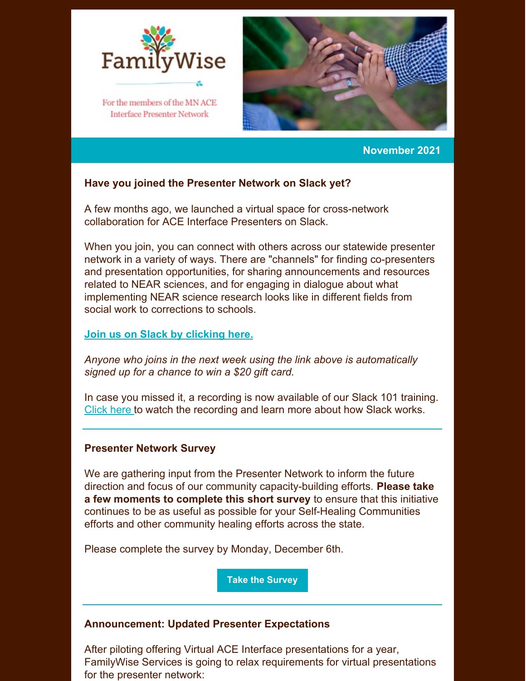

**Interface Presenter Network** 



#### **November 2021**

## **Have you joined the Presenter Network on Slack yet?**

A few months ago, we launched a virtual space for cross-network collaboration for ACE Interface Presenters on Slack.

When you join, you can connect with others across our statewide presenter network in a variety of ways. There are "channels" for finding co-presenters and presentation opportunities, for sharing announcements and resources related to NEAR sciences, and for engaging in dialogue about what implementing NEAR science research looks like in different fields from social work to corrections to schools.

#### **Join us on Slack by [clicking](https://join.slack.com/t/familywiseservices/shared_invite/zt-u9bp1opu-wMnH9pYJi5otgcKw0jeU1A) here.**

*Anyone who joins in the next week using the link above is automatically signed up for a chance to win a \$20 gift card.*

In case you missed it, a recording is now available of our Slack 101 training. [Click](https://us06web.zoom.us/rec/share/WpdxFACoOFlvc3jJnUSmVbZZiX61r72hGKwMUeApERTZ_d-6AoPNr3q1d_vSbZIh.N3gCemzlwLKe5byA?startTime=1636128124000) here to watch the recording and learn more about how Slack works.

#### **Presenter Network Survey**

We are gathering input from the Presenter Network to inform the future direction and focus of our community capacity-building efforts. **Please take a few moments to complete this short survey** to ensure that this initiative continues to be as useful as possible for your Self-Healing Communities efforts and other community healing efforts across the state.

Please complete the survey by Monday, December 6th.

**Take the [Survey](https://www.surveymonkey.com/r/SLDNG3W)**

#### **Announcement: Updated Presenter Expectations**

After piloting offering Virtual ACE Interface presentations for a year, FamilyWise Services is going to relax requirements for virtual presentations for the presenter network: